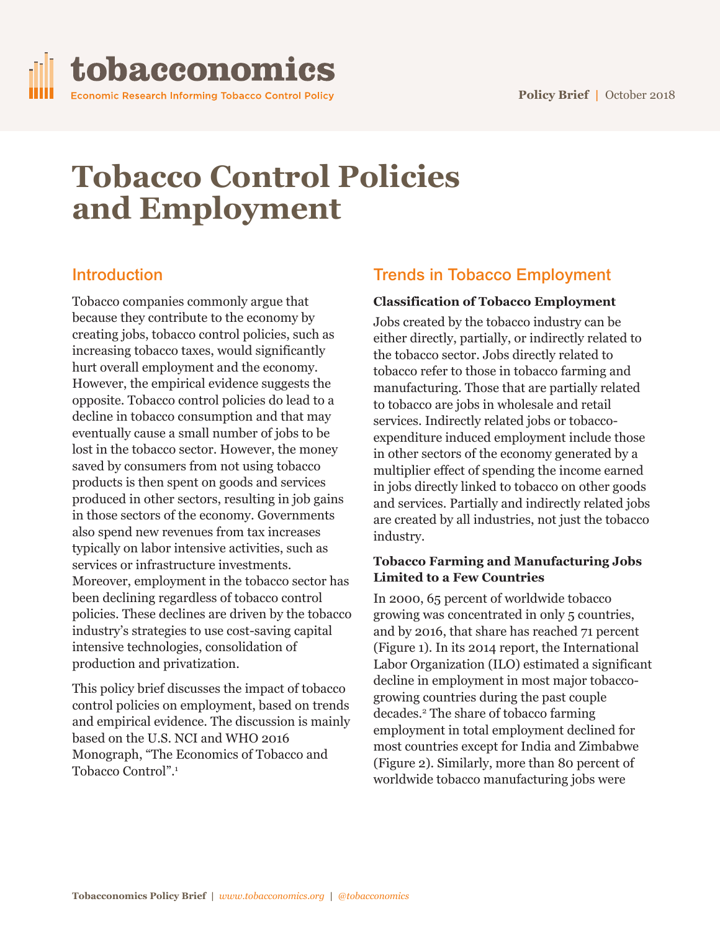

# **Tobacco Control Policies and Employment**

# **Introduction**

Tobacco companies commonly argue that because they contribute to the economy by creating jobs, tobacco control policies, such as increasing tobacco taxes, would significantly hurt overall employment and the economy. However, the empirical evidence suggests the opposite. Tobacco control policies do lead to a decline in tobacco consumption and that may eventually cause a small number of jobs to be lost in the tobacco sector. However, the money saved by consumers from not using tobacco products is then spent on goods and services produced in other sectors, resulting in job gains in those sectors of the economy. Governments also spend new revenues from tax increases typically on labor intensive activities, such as services or infrastructure investments. Moreover, employment in the tobacco sector has been declining regardless of tobacco control policies. These declines are driven by the tobacco industry's strategies to use cost-saving capital intensive technologies, consolidation of production and privatization.

This policy brief discusses the impact of tobacco control policies on employment, based on trends and empirical evidence. The discussion is mainly based on the U.S. NCI and WHO 2016 Monograph, "The Economics of Tobacco and Tobacco Control". 1

# **Trends in Tobacco Employment**

#### **Classification of Tobacco Employment**

Jobs created by the tobacco industry can be either directly, partially, or indirectly related to the tobacco sector. Jobs directly related to tobacco refer to those in tobacco farming and manufacturing. Those that are partially related to tobacco are jobs in wholesale and retail services. Indirectly related jobs or tobaccoexpenditure induced employment include those in other sectors of the economy generated by a multiplier effect of spending the income earned in jobs directly linked to tobacco on other goods and services. Partially and indirectly related jobs are created by all industries, not just the tobacco industry.

#### **Tobacco Farming and Manufacturing Jobs Limited to a Few Countries**

In 2000, 65 percent of worldwide tobacco growing was concentrated in only 5 countries, and by 2016, that share has reached 71 percent (Figure 1). In its 2014 report, the International Labor Organization (ILO) estimated a significant decline in employment in most major tobaccogrowing countries during the past couple decades. <sup>2</sup> The share of tobacco farming employment in total employment declined for most countries except for India and Zimbabwe (Figure 2). Similarly, more than 80 percent of worldwide tobacco manufacturing jobs were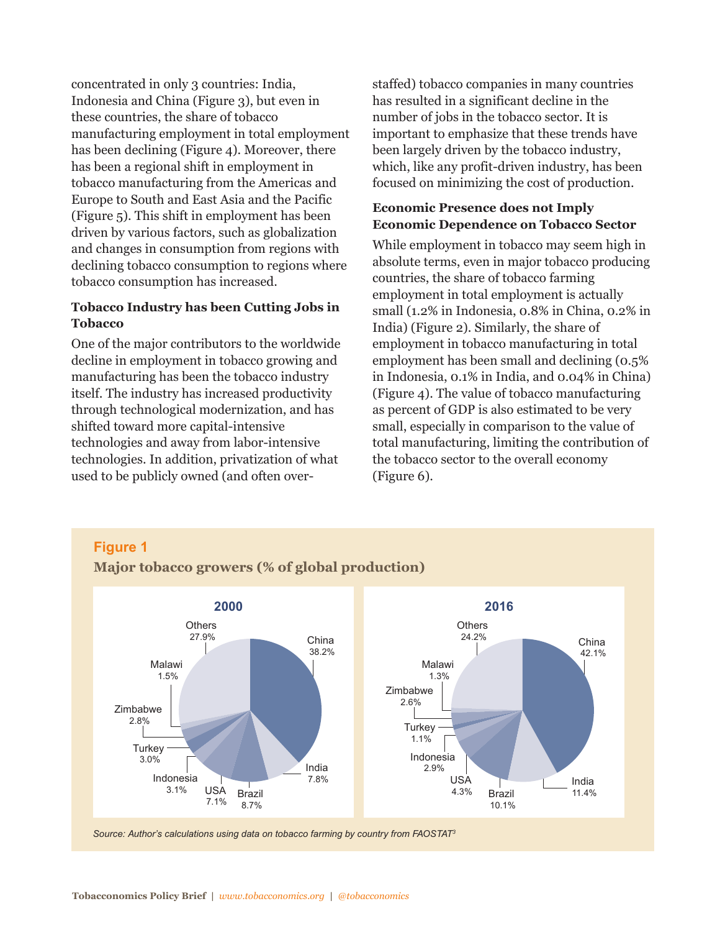concentrated in only 3 countries: India, Indonesia and China (Figure 3), but even in these countries, the share of tobacco manufacturing employment in total employment has been declining (Figure 4). Moreover, there has been a regional shift in employment in tobacco manufacturing from the Americas and Europe to South and East Asia and the Pacific (Figure 5). This shift in employment has been driven by various factors, such as globalization and changes in consumption from regions with declining tobacco consumption to regions where tobacco consumption has increased.

#### **Tobacco Industry has been Cutting Jobs in Tobacco**

One of the major contributors to the worldwide decline in employment in tobacco growing and manufacturing has been the tobacco industry itself. The industry has increased productivity through technological modernization, and has shifted toward more capital-intensive technologies and away from labor-intensive technologies. In addition, privatization of what used to be publicly owned (and often overstaffed) tobacco companies in many countries has resulted in a significant decline in the number of jobs in the tobacco sector. It is important to emphasize that these trends have been largely driven by the tobacco industry, which, like any profit-driven industry, has been focused on minimizing the cost of production.

#### **Economic Presence does not Imply Economic Dependence on Tobacco Sector**

While employment in tobacco may seem high in absolute terms, even in major tobacco producing countries, the share of tobacco farming employment in total employment is actually small (1.2% in Indonesia, 0.8% in China, 0.2% in India) (Figure 2). Similarly, the share of employment in tobacco manufacturing in total employment has been small and declining (0.5% in Indonesia, 0.1% in India, and 0.04% in China) (Figure 4). The value of tobacco manufacturing as percent of GDP is also estimated to be very small, especially in comparison to the value of total manufacturing, limiting the contribution of the tobacco sector to the overall economy (Figure 6).

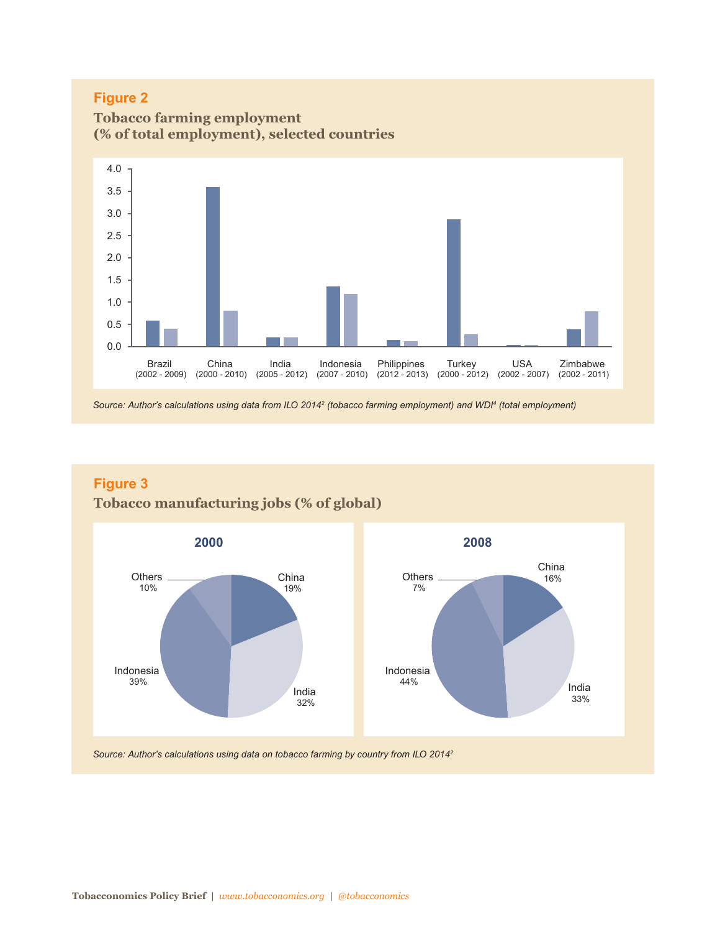



Source: Author's calculations using data from ILO 2014<sup>2</sup> (tobacco farming employment) and WDI<sup>4</sup> (total employment)





*Source: Author's calculations using data on tobacco farming by country from ILO 20142*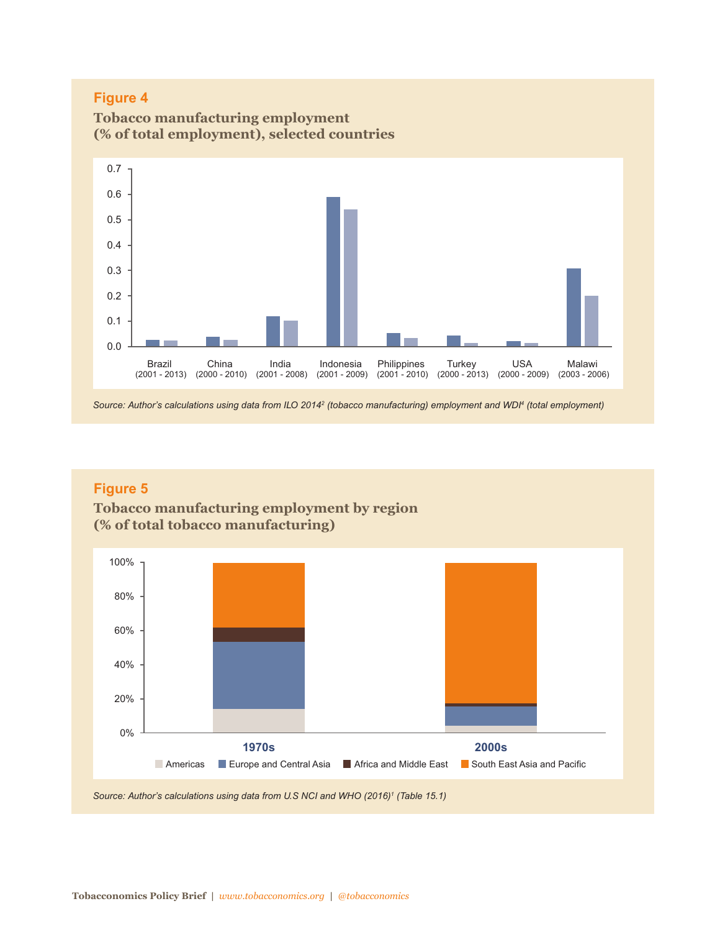

**Tobacco manufacturing employment**

Source: Author's calculations using data from ILO 2014<sup>2</sup> (tobacco manufacturing) employment and WDI<sup>4</sup> (total employment)

## **Figure 5**

**Tobacco manufacturing employment by region (% of total tobacco manufacturing)**



*Source: Author's calculations using data from U.S NCI and WHO (2016)1 (Table 15.1)*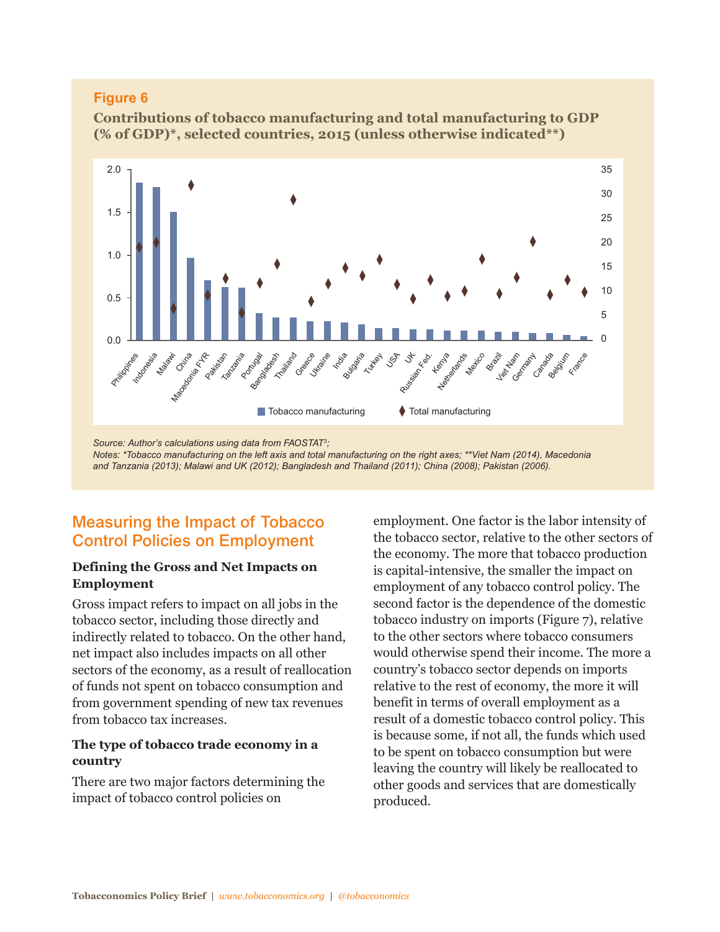**Contributions of tobacco manufacturing and total manufacturing to GDP (% of GDP)\*, selected countries, 2015 (unless otherwise indicated\*\*)**



*and Tanzania (2013); Malawi and UK (2012); Bangladesh and Thailand (2011); China (2008); Pakistan (2006).*

# **Measuring the Impact of Tobacco Control Policies on Employment**

#### **Defining the Gross and Net Impacts on Employment**

Gross impact refers to impact on all jobs in the tobacco sector, including those directly and indirectly related to tobacco. On the other hand, net impact also includes impacts on all other sectors of the economy, as a result of reallocation of funds not spent on tobacco consumption and from government spending of new tax revenues from tobacco tax increases.

#### **The type of tobacco trade economy in a country**

There are two major factors determining the impact of tobacco control policies on

employment. One factor is the labor intensity of the tobacco sector, relative to the other sectors of the economy. The more that tobacco production is capital-intensive, the smaller the impact on employment of any tobacco control policy. The second factor is the dependence of the domestic tobacco industry on imports (Figure 7), relative to the other sectors where tobacco consumers would otherwise spend their income. The more a country's tobacco sector depends on imports relative to the rest of economy, the more it will benefit in terms of overall employment as a result of a domestic tobacco control policy. This is because some, if not all, the funds which used to be spent on tobacco consumption but were leaving the country will likely be reallocated to other goods and services that are domestically produced.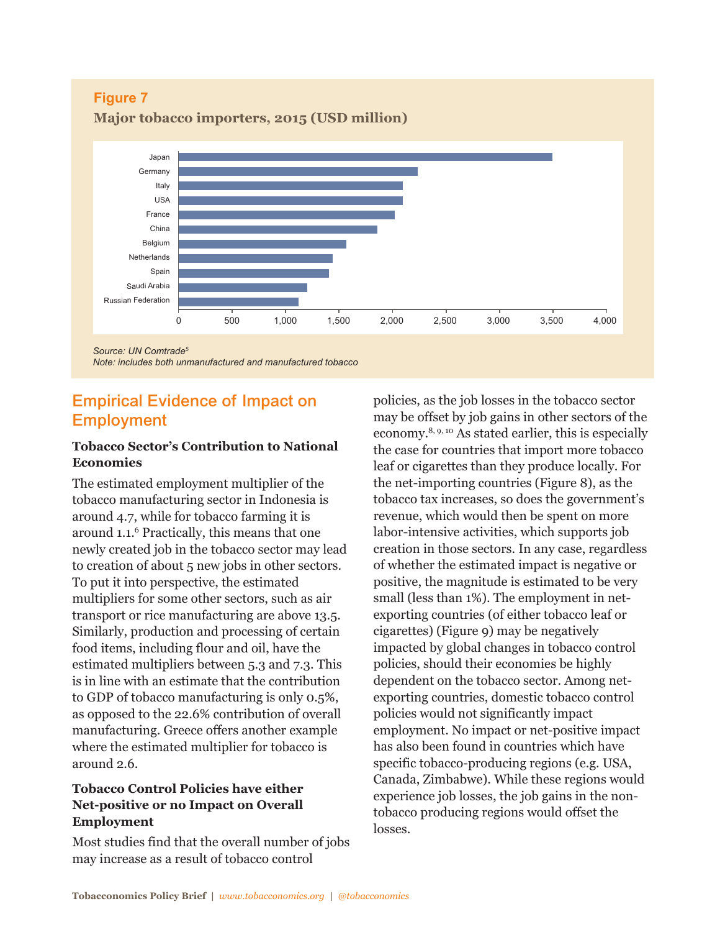**Figure 7**





## **Empirical Evidence of Impact on Employment**

#### **Tobacco Sector's Contribution to National Economies**

The estimated employment multiplier of the tobacco manufacturing sector in Indonesia is around 4.7, while for tobacco farming it is around 1.1. <sup>6</sup> Practically, this means that one newly created job in the tobacco sector may lead to creation of about 5 new jobs in other sectors. To put it into perspective, the estimated multipliers for some other sectors, such as air transport or rice manufacturing are above 13.5. Similarly, production and processing of certain food items, including flour and oil, have the estimated multipliers between 5.3 and 7.3. This is in line with an estimate that the contribution to GDP of tobacco manufacturing is only 0.5%, as opposed to the 22.6% contribution of overall manufacturing. Greece offers another example where the estimated multiplier for tobacco is around 2.6.

## **Tobacco Control Policies have either Net-positive or no Impact on Overall Employment**

Most studies find that the overall number of jobs may increase as a result of tobacco control

policies, as the job losses in the tobacco sector may be offset by job gains in other sectors of the economy. 8, 9, <sup>10</sup> As stated earlier, this is especially the case for countries that import more tobacco leaf or cigarettes than they produce locally. For the net-importing countries (Figure 8), as the tobacco tax increases, so does the government's revenue, which would then be spent on more labor-intensive activities, which supports job creation in those sectors. In any case, regardless of whether the estimated impact is negative or positive, the magnitude is estimated to be very small (less than 1%). The employment in netexporting countries (of either tobacco leaf or cigarettes) (Figure 9) may be negatively impacted by global changes in tobacco control policies, should their economies be highly dependent on the tobacco sector. Among netexporting countries, domestic tobacco control policies would not significantly impact employment. No impact or net-positive impact has also been found in countries which have specific tobacco-producing regions (e.g. USA, Canada, Zimbabwe). While these regions would experience job losses, the job gains in the nontobacco producing regions would offset the losses.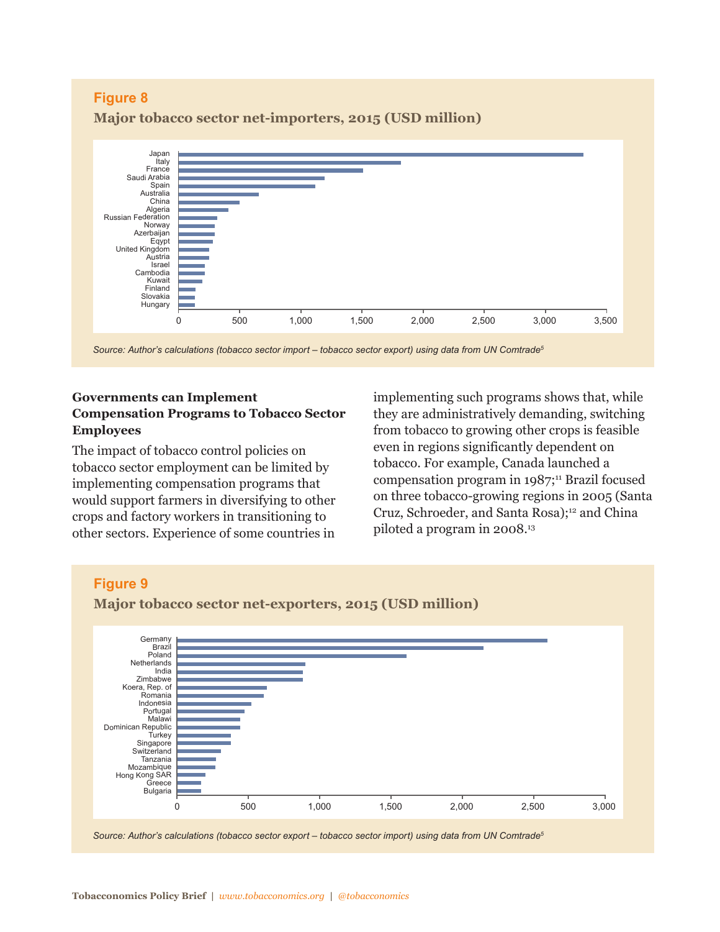

**Major tobacco sector net-importers, 2015 (USD million)**

#### **Governments can Implement Compensation Programs to Tobacco Sector Employees**

The impact of tobacco control policies on tobacco sector employment can be limited by implementing compensation programs that would support farmers in diversifying to other crops and factory workers in transitioning to other sectors. Experience of some countries in implementing such programs shows that, while they are administratively demanding, switching from tobacco to growing other crops is feasible even in regions significantly dependent on tobacco. For example, Canada launched a compensation program in 1987; <sup>11</sup> Brazil focused on three tobacco-growing regions in 2005 (Santa Cruz, Schroeder, and Santa Rosa); <sup>12</sup> and China piloted a program in 2008. 13



*Source: Author's calculations (tobacco sector export – tobacco sector import) using data from UN Comtrade5*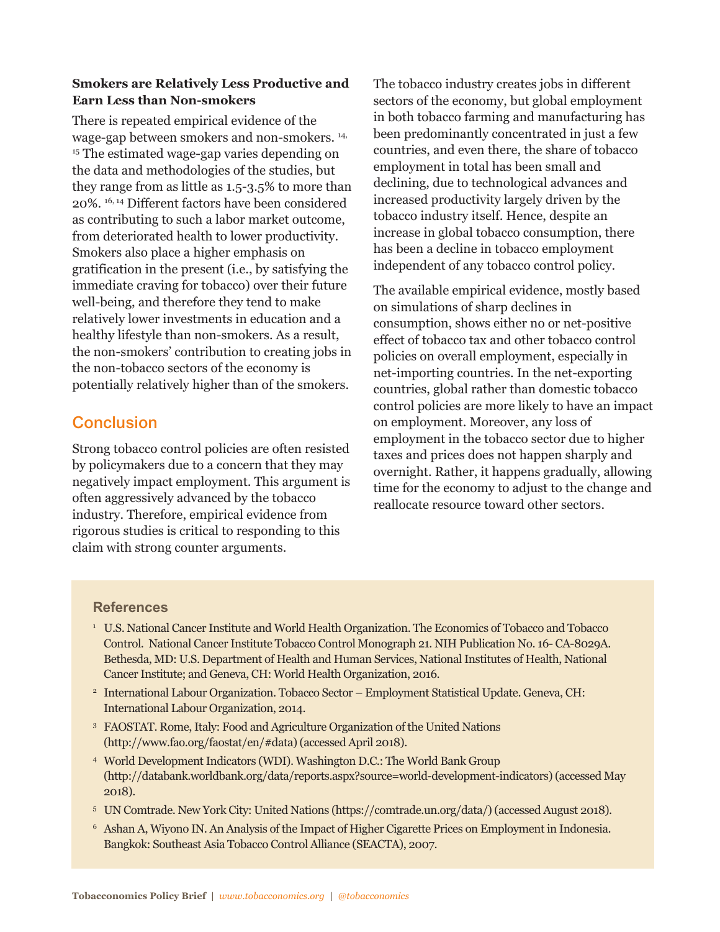#### **Smokers are Relatively Less Productive and Earn Less than Non-smokers**

There is repeated empirical evidence of the wage-gap between smokers and non-smokers. 14, <sup>15</sup> The estimated wage-gap varies depending on the data and methodologies of the studies, but they range from as little as 1.5-3.5% to more than 20%. 16, <sup>14</sup> Different factors have been considered as contributing to such a labor market outcome, from deteriorated health to lower productivity. Smokers also place a higher emphasis on gratification in the present (i.e., by satisfying the immediate craving for tobacco) over their future well-being, and therefore they tend to make relatively lower investments in education and a healthy lifestyle than non-smokers. As a result, the non-smokers' contribution to creating jobs in the non-tobacco sectors of the economy is potentially relatively higher than of the smokers.

# **Conclusion**

Strong tobacco control policies are often resisted by policymakers due to a concern that they may negatively impact employment. This argument is often aggressively advanced by the tobacco industry. Therefore, empirical evidence from rigorous studies is critical to responding to this claim with strong counter arguments.

The tobacco industry creates jobs in different sectors of the economy, but global employment in both tobacco farming and manufacturing has been predominantly concentrated in just a few countries, and even there, the share of tobacco employment in total has been small and declining, due to technological advances and increased productivity largely driven by the tobacco industry itself. Hence, despite an increase in global tobacco consumption, there has been a decline in tobacco employment independent of any tobacco control policy.

The available empirical evidence, mostly based on simulations of sharp declines in consumption, shows either no or net-positive effect of tobacco tax and other tobacco control policies on overall employment, especially in net-importing countries. In the net-exporting countries, global rather than domestic tobacco control policies are more likely to have an impact on employment. Moreover, any loss of employment in the tobacco sector due to higher taxes and prices does not happen sharply and overnight. Rather, it happens gradually, allowing time for the economy to adjust to the change and reallocate resource toward other sectors.

#### **References**

- <sup>1</sup> U.S. National Cancer Institute and World Health Organization. The Economics of Tobacco and Tobacco Control. National Cancer Institute Tobacco Control Monograph 21. NIH Publication No. 16- CA-8029A. Bethesda, MD: U.S. Department of Health and Human Services, National Institutes of Health, National Cancer Institute; and Geneva, CH: World Health Organization, 2016.
- <sup>2</sup> International Labour Organization. Tobacco Sector Employment Statistical Update. Geneva, CH: International Labour Organization, 2014.
- <sup>3</sup> FAOSTAT. Rome, Italy: Food and Agriculture Organization of the United Nations (http://www.fao.org/faostat/en/#data)(accessed April 2018).
- <sup>4</sup> World Development Indicators (WDI). Washington D.C.: The World Bank Group (http://databank.worldbank.org/data/reports.aspx?source=world-development-indicators)(accessed May 2018).
- <sup>5</sup> UN Comtrade. New York City: United Nations (https://comtrade.un.org/data/)(accessed August 2018).
- <sup>6</sup> Ashan A, Wiyono IN. An Analysis of the Impact of Higher Cigarette Prices on Employment in Indonesia. Bangkok: Southeast Asia Tobacco Control Alliance (SEACTA), 2007.